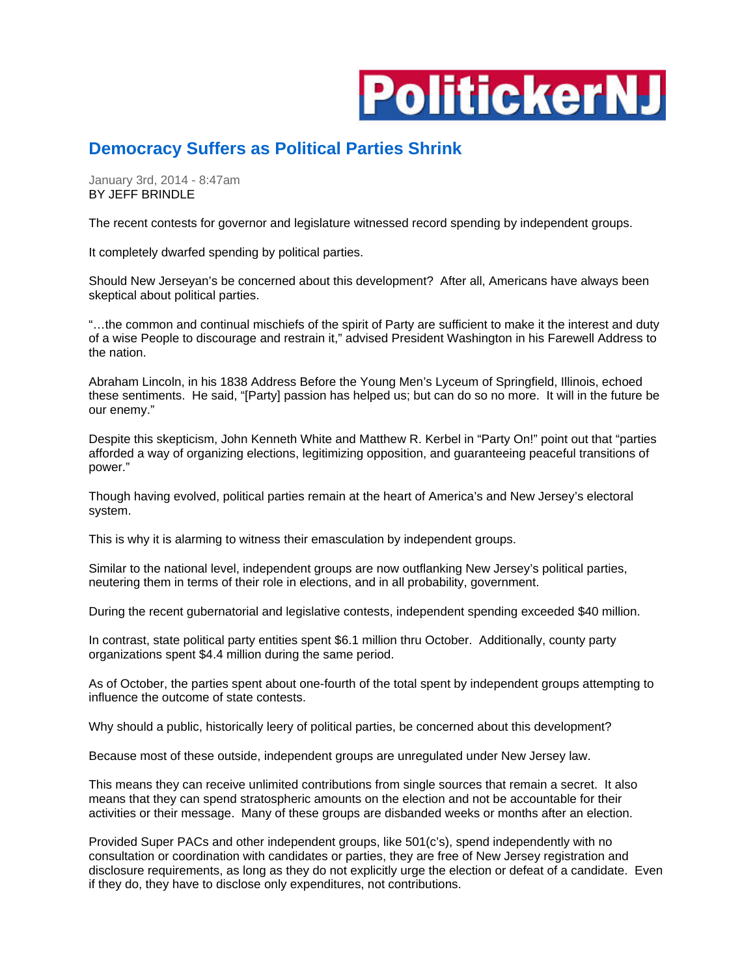

## **Democracy Suffers as Political Parties Shrink**

January 3rd, 2014 - 8:47am BY JEFF BRINDLE

The recent contests for governor and legislature witnessed record spending by independent groups.

It completely dwarfed spending by political parties.

Should New Jerseyan's be concerned about this development? After all, Americans have always been skeptical about political parties.

"…the common and continual mischiefs of the spirit of Party are sufficient to make it the interest and duty of a wise People to discourage and restrain it," advised President Washington in his Farewell Address to the nation.

Abraham Lincoln, in his 1838 Address Before the Young Men's Lyceum of Springfield, Illinois, echoed these sentiments. He said, "[Party] passion has helped us; but can do so no more. It will in the future be our enemy."

Despite this skepticism, John Kenneth White and Matthew R. Kerbel in "Party On!" point out that "parties afforded a way of organizing elections, legitimizing opposition, and guaranteeing peaceful transitions of power."

Though having evolved, political parties remain at the heart of America's and New Jersey's electoral system.

This is why it is alarming to witness their emasculation by independent groups.

Similar to the national level, independent groups are now outflanking New Jersey's political parties, neutering them in terms of their role in elections, and in all probability, government.

During the recent gubernatorial and legislative contests, independent spending exceeded \$40 million.

In contrast, state political party entities spent \$6.1 million thru October. Additionally, county party organizations spent \$4.4 million during the same period.

As of October, the parties spent about one-fourth of the total spent by independent groups attempting to influence the outcome of state contests.

Why should a public, historically leery of political parties, be concerned about this development?

Because most of these outside, independent groups are unregulated under New Jersey law.

This means they can receive unlimited contributions from single sources that remain a secret. It also means that they can spend stratospheric amounts on the election and not be accountable for their activities or their message. Many of these groups are disbanded weeks or months after an election.

Provided Super PACs and other independent groups, like 501(c's), spend independently with no consultation or coordination with candidates or parties, they are free of New Jersey registration and disclosure requirements, as long as they do not explicitly urge the election or defeat of a candidate. Even if they do, they have to disclose only expenditures, not contributions.